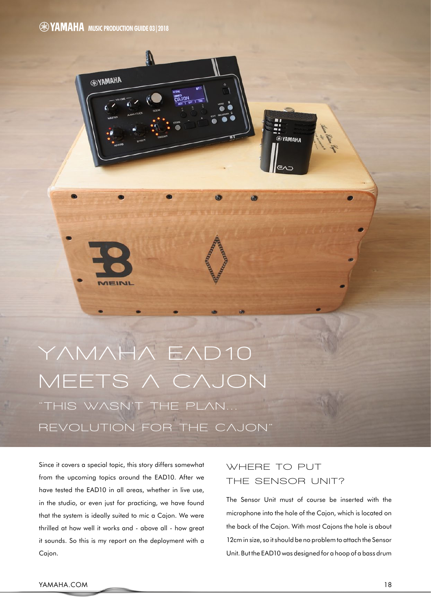**EXAMAHA** 



Since it covers a special topic, this story differs somewhat from the upcoming topics around the EAD10. After we have tested the EAD10 in all areas, whether in live use, in the studio, or even just for practicing, we have found that the system is ideally suited to mic a Cajon. We were thrilled at how well it works and - above all - how great it sounds. So this is my report on the deployment with a Cajon.

# **where To puT** THE SENSOR UNIT?

. −<br>®YAMAHA

The Sensor Unit must of course be inserted with the microphone into the hole of the Cajon, which is located on the back of the Cajon. With most Cajons the hole is about 12cm in size, so it should be no problem to attach the Sensor Unit. But the EAD10 was designed for a hoop of a bass drum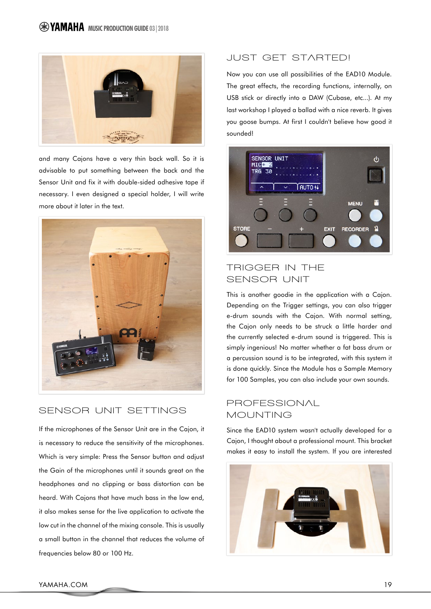

and many Cajons have a very thin back wall. So it is advisable to put something between the back and the Sensor Unit and fix it with double-sided adhesive tape if necessary. I even designed a special holder, I will write more about it later in the text.



## **SENSOR UNIT SETTINGS**

If the microphones of the Sensor Unit are in the Cajon, it is necessary to reduce the sensitivity of the microphones. Which is very simple: Press the Sensor button and adjust the Gain of the microphones until it sounds great on the headphones and no clipping or bass distortion can be heard. With Cajons that have much bass in the low end, it also makes sense for the live application to activate the low cut in the channel of the mixing console. This is usually a small button in the channel that reduces the volume of frequencies below 80 or 100 Hz.

#### **juST GeT STArTeD!**

Now you can use all possibilities of the EAD10 Module. The great effects, the recording functions, internally, on USB stick or directly into a DAW (Cubase, etc...). At my last workshop I played a ballad with a nice reverb. It gives you goose bumps. At first I couldn't believe how good it sounded!



### **TriGGer in The SENSOR UNIT**

This is another goodie in the application with a Cajon. Depending on the Trigger settings, you can also trigger e-drum sounds with the Cajon. With normal setting, the Cajon only needs to be struck a little harder and the currently selected e-drum sound is triggered. This is simply ingenious! No matter whether a fat bass drum or a percussion sound is to be integrated, with this system it is done quickly. Since the Module has a Sample Memory for 100 Samples, you can also include your own sounds.

#### **profeSSionAl MounTinG**

Since the EAD10 system wasn't actually developed for a Cajon, I thought about a professional mount. This bracket makes it easy to install the system. If you are interested